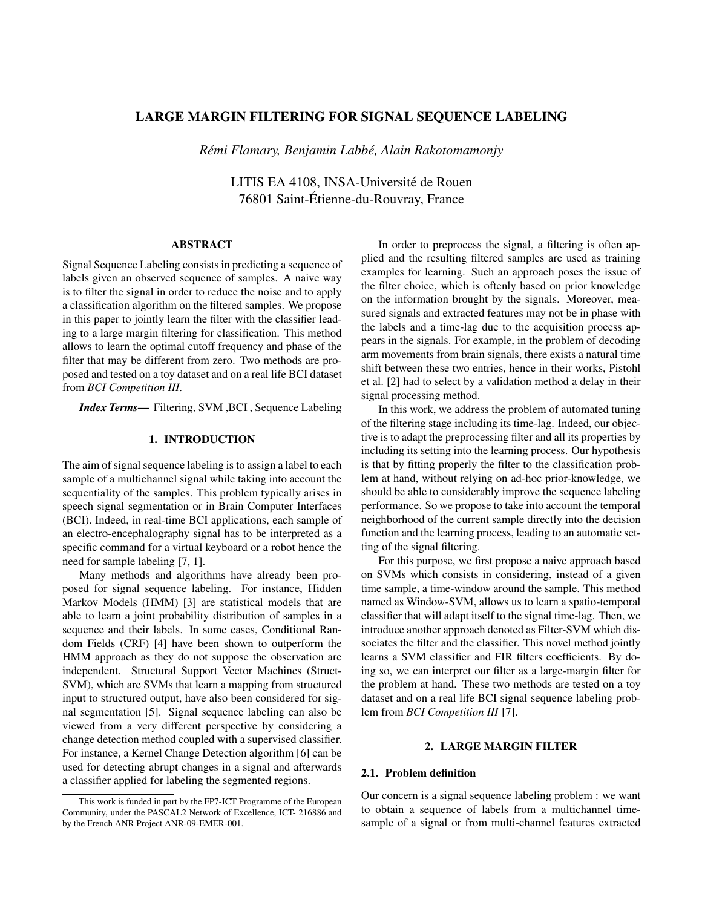# LARGE MARGIN FILTERING FOR SIGNAL SEQUENCE LABELING

*Remi Flamary, Benjamin Labb ´ e, Alain Rakotomamonjy ´*

LITIS EA 4108, INSA-Université de Rouen 76801 Saint-Etienne-du-Rouvray, France ´

# ABSTRACT

Signal Sequence Labeling consists in predicting a sequence of labels given an observed sequence of samples. A naive way is to filter the signal in order to reduce the noise and to apply a classification algorithm on the filtered samples. We propose in this paper to jointly learn the filter with the classifier leading to a large margin filtering for classification. This method allows to learn the optimal cutoff frequency and phase of the filter that may be different from zero. Two methods are proposed and tested on a toy dataset and on a real life BCI dataset from *BCI Competition III*.

*Index Terms*— Filtering, SVM ,BCI , Sequence Labeling

## 1. INTRODUCTION

The aim of signal sequence labeling is to assign a label to each sample of a multichannel signal while taking into account the sequentiality of the samples. This problem typically arises in speech signal segmentation or in Brain Computer Interfaces (BCI). Indeed, in real-time BCI applications, each sample of an electro-encephalography signal has to be interpreted as a specific command for a virtual keyboard or a robot hence the need for sample labeling [7, 1].

Many methods and algorithms have already been proposed for signal sequence labeling. For instance, Hidden Markov Models (HMM) [3] are statistical models that are able to learn a joint probability distribution of samples in a sequence and their labels. In some cases, Conditional Random Fields (CRF) [4] have been shown to outperform the HMM approach as they do not suppose the observation are independent. Structural Support Vector Machines (Struct-SVM), which are SVMs that learn a mapping from structured input to structured output, have also been considered for signal segmentation [5]. Signal sequence labeling can also be viewed from a very different perspective by considering a change detection method coupled with a supervised classifier. For instance, a Kernel Change Detection algorithm [6] can be used for detecting abrupt changes in a signal and afterwards a classifier applied for labeling the segmented regions.

In order to preprocess the signal, a filtering is often applied and the resulting filtered samples are used as training examples for learning. Such an approach poses the issue of the filter choice, which is oftenly based on prior knowledge on the information brought by the signals. Moreover, measured signals and extracted features may not be in phase with the labels and a time-lag due to the acquisition process appears in the signals. For example, in the problem of decoding arm movements from brain signals, there exists a natural time shift between these two entries, hence in their works, Pistohl et al. [2] had to select by a validation method a delay in their signal processing method.

In this work, we address the problem of automated tuning of the filtering stage including its time-lag. Indeed, our objective is to adapt the preprocessing filter and all its properties by including its setting into the learning process. Our hypothesis is that by fitting properly the filter to the classification problem at hand, without relying on ad-hoc prior-knowledge, we should be able to considerably improve the sequence labeling performance. So we propose to take into account the temporal neighborhood of the current sample directly into the decision function and the learning process, leading to an automatic setting of the signal filtering.

For this purpose, we first propose a naive approach based on SVMs which consists in considering, instead of a given time sample, a time-window around the sample. This method named as Window-SVM, allows us to learn a spatio-temporal classifier that will adapt itself to the signal time-lag. Then, we introduce another approach denoted as Filter-SVM which dissociates the filter and the classifier. This novel method jointly learns a SVM classifier and FIR filters coefficients. By doing so, we can interpret our filter as a large-margin filter for the problem at hand. These two methods are tested on a toy dataset and on a real life BCI signal sequence labeling problem from *BCI Competition III* [7].

### 2. LARGE MARGIN FILTER

### 2.1. Problem definition

Our concern is a signal sequence labeling problem : we want to obtain a sequence of labels from a multichannel timesample of a signal or from multi-channel features extracted

This work is funded in part by the FP7-ICT Programme of the European Community, under the PASCAL2 Network of Excellence, ICT- 216886 and by the French ANR Project ANR-09-EMER-001.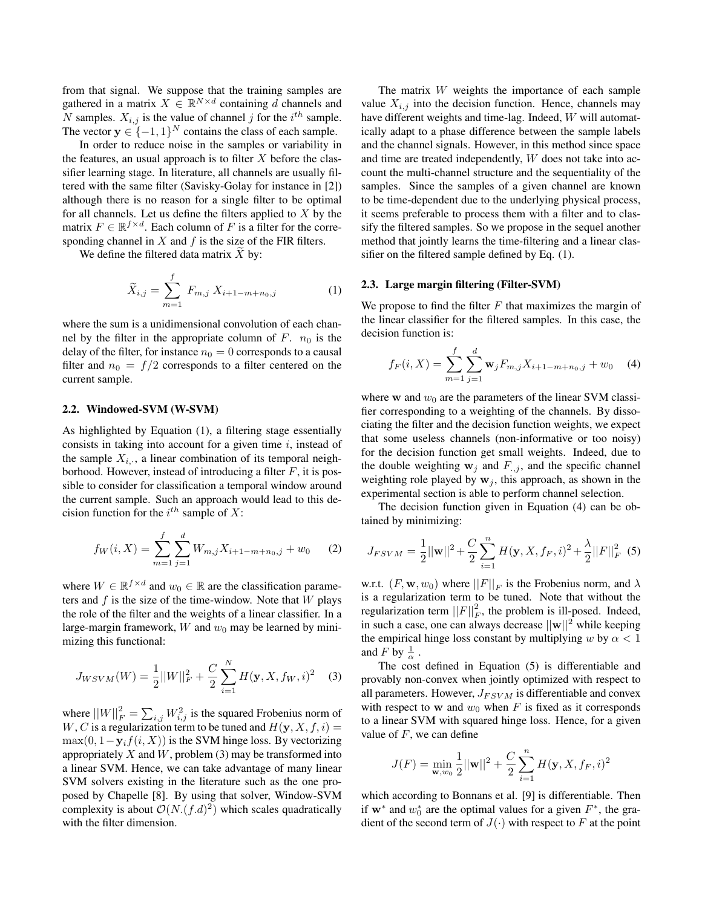from that signal. We suppose that the training samples are gathered in a matrix  $X \in \mathbb{R}^{N \times d}$  containing d channels and N samples.  $X_{i,j}$  is the value of channel j for the  $i^{th}$  sample. The vector  $y \in \{-1, 1\}^N$  contains the class of each sample.

In order to reduce noise in the samples or variability in the features, an usual approach is to filter  $X$  before the classifier learning stage. In literature, all channels are usually filtered with the same filter (Savisky-Golay for instance in [2]) although there is no reason for a single filter to be optimal for all channels. Let us define the filters applied to  $X$  by the matrix  $F \in \mathbb{R}^{f \times d}$ . Each column of F is a filter for the corresponding channel in  $X$  and  $f$  is the size of the FIR filters.

We define the filtered data matrix  $X$  by:

$$
\widetilde{X}_{i,j} = \sum_{m=1}^{f} F_{m,j} X_{i+1-m+n_0,j} \tag{1}
$$

where the sum is a unidimensional convolution of each channel by the filter in the appropriate column of  $F$ .  $n_0$  is the delay of the filter, for instance  $n_0 = 0$  corresponds to a causal filter and  $n_0 = f/2$  corresponds to a filter centered on the current sample.

### 2.2. Windowed-SVM (W-SVM)

As highlighted by Equation (1), a filtering stage essentially consists in taking into account for a given time  $i$ , instead of the sample  $X_{i,\cdot}$ , a linear combination of its temporal neighborhood. However, instead of introducing a filter  $F$ , it is possible to consider for classification a temporal window around the current sample. Such an approach would lead to this decision function for the  $i^{th}$  sample of X:

$$
f_W(i, X) = \sum_{m=1}^{f} \sum_{j=1}^{d} W_{m,j} X_{i+1-m+n_0,j} + w_0 \qquad (2)
$$

where  $W \in \mathbb{R}^{f \times d}$  and  $w_0 \in \mathbb{R}$  are the classification parameters and  $f$  is the size of the time-window. Note that  $W$  plays the role of the filter and the weights of a linear classifier. In a large-margin framework,  $W$  and  $w_0$  may be learned by minimizing this functional:

$$
J_{WSVM}(W) = \frac{1}{2} ||W||_F^2 + \frac{C}{2} \sum_{i=1}^N H(\mathbf{y}, X, f_W, i)^2
$$
 (3)

where  $||W||_F^2 = \sum_{i,j} W_{i,j}^2$  is the squared Frobenius norm of W, C is a regularization term to be tuned and  $H(y, X, f, i) =$  $\max(0, 1-\mathbf{y}_i f(i, X))$  is the SVM hinge loss. By vectorizing appropriately  $X$  and  $W$ , problem (3) may be transformed into a linear SVM. Hence, we can take advantage of many linear SVM solvers existing in the literature such as the one proposed by Chapelle [8]. By using that solver, Window-SVM complexity is about  $\mathcal{O}(N.(f.d)^2)$  which scales quadratically with the filter dimension.

The matrix  $W$  weights the importance of each sample value  $X_{i,j}$  into the decision function. Hence, channels may have different weights and time-lag. Indeed, W will automatically adapt to a phase difference between the sample labels and the channel signals. However, in this method since space and time are treated independently, W does not take into account the multi-channel structure and the sequentiality of the samples. Since the samples of a given channel are known to be time-dependent due to the underlying physical process, it seems preferable to process them with a filter and to classify the filtered samples. So we propose in the sequel another method that jointly learns the time-filtering and a linear classifier on the filtered sample defined by Eq. (1).

#### 2.3. Large margin filtering (Filter-SVM)

We propose to find the filter  $F$  that maximizes the margin of the linear classifier for the filtered samples. In this case, the decision function is:

$$
f_F(i, X) = \sum_{m=1}^{f} \sum_{j=1}^{d} \mathbf{w}_j F_{m,j} X_{i+1-m+n_0,j} + w_0 \quad (4)
$$

where w and  $w_0$  are the parameters of the linear SVM classifier corresponding to a weighting of the channels. By dissociating the filter and the decision function weights, we expect that some useless channels (non-informative or too noisy) for the decision function get small weights. Indeed, due to the double weighting  $w_j$  and  $F_{.,j}$ , and the specific channel weighting role played by  $w_i$ , this approach, as shown in the experimental section is able to perform channel selection.

The decision function given in Equation (4) can be obtained by minimizing:

$$
J_{FSVM} = \frac{1}{2} ||\mathbf{w}||^2 + \frac{C}{2} \sum_{i=1}^{n} H(\mathbf{y}, X, f_F, i)^2 + \frac{\lambda}{2} ||F||_F^2
$$
 (5)

w.r.t.  $(F, \mathbf{w}, w_0)$  where  $||F||_F$  is the Frobenius norm, and  $\lambda$ is a regularization term to be tuned. Note that without the regularization term  $||F||_F^2$ , the problem is ill-posed. Indeed, in such a case, one can always decrease  $||\mathbf{w}||^2$  while keeping the empirical hinge loss constant by multiplying w by  $\alpha < 1$ and F by  $\frac{1}{\alpha}$ .

The cost defined in Equation (5) is differentiable and provably non-convex when jointly optimized with respect to all parameters. However,  $J_{FSVM}$  is differentiable and convex with respect to w and  $w_0$  when F is fixed as it corresponds to a linear SVM with squared hinge loss. Hence, for a given value of  $F$ , we can define

$$
J(F) = \min_{\mathbf{w}, w_0} \frac{1}{2} ||\mathbf{w}||^2 + \frac{C}{2} \sum_{i=1}^n H(\mathbf{y}, X, f_F, i)^2
$$

which according to Bonnans et al. [9] is differentiable. Then if w<sup>\*</sup> and  $w_0^*$  are the optimal values for a given  $F^*$ , the gradient of the second term of  $J(\cdot)$  with respect to F at the point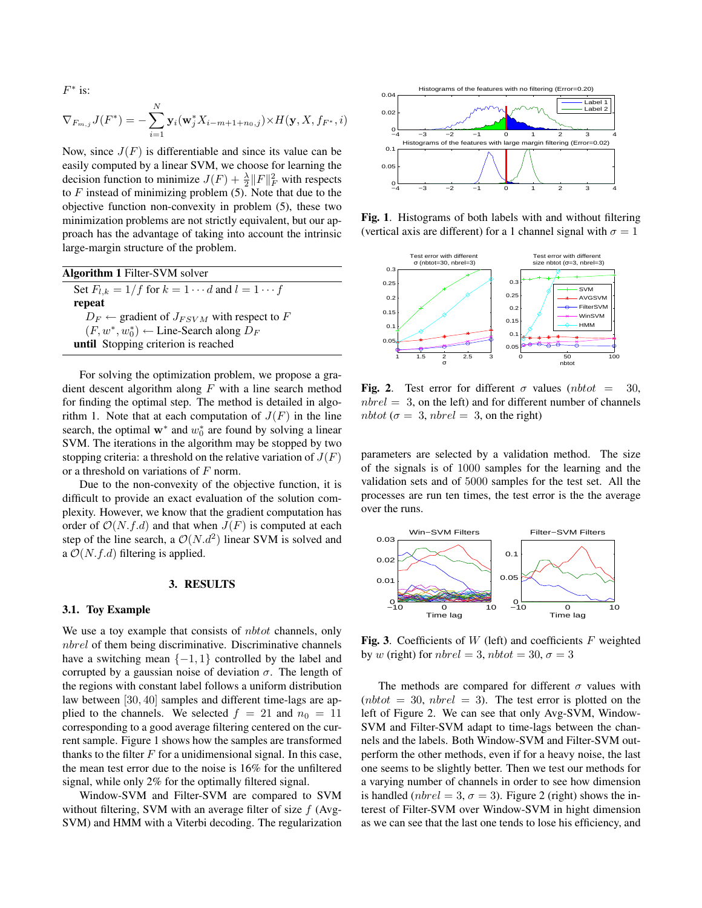$F^*$  is:

$$
\nabla_{F_{m,j}} J(F^*) = -\sum_{i=1}^N \mathbf{y}_i(\mathbf{w}_j^* X_{i-m+1+n_0,j}) \times H(\mathbf{y}, X, f_{F^*}, i)
$$

Now, since  $J(F)$  is differentiable and since its value can be easily computed by a linear SVM, we choose for learning the decision function to minimize  $J(F) + \frac{\lambda}{2} ||F||_F^2$  with respects to  $F$  instead of minimizing problem  $(5)$ . Note that due to the objective function non-convexity in problem (5), these two minimization problems are not strictly equivalent, but our approach has the advantage of taking into account the intrinsic large-margin structure of the problem.

| Algorithm 1 Filter-SVM solver                                 |
|---------------------------------------------------------------|
| Set $F_{l,k} = 1/f$ for $k = 1 \cdots d$ and $l = 1 \cdots f$ |
| repeat                                                        |
| $D_F \leftarrow$ gradient of $J_{FSVM}$ with respect to F     |
| $(F, w^*, w_0^*) \leftarrow$ Line-Search along $D_F$          |
| until Stopping criterion is reached                           |

For solving the optimization problem, we propose a gradient descent algorithm along  $F$  with a line search method for finding the optimal step. The method is detailed in algorithm 1. Note that at each computation of  $J(F)$  in the line search, the optimal  $w^*$  and  $w_0^*$  are found by solving a linear SVM. The iterations in the algorithm may be stopped by two stopping criteria: a threshold on the relative variation of  $J(F)$ or a threshold on variations of F norm.

Due to the non-convexity of the objective function, it is difficult to provide an exact evaluation of the solution complexity. However, we know that the gradient computation has order of  $\mathcal{O}(N.f.d)$  and that when  $J(F)$  is computed at each step of the line search, a  $\mathcal{O}(N.d^2)$  linear SVM is solved and a  $\mathcal{O}(N.f.d)$  filtering is applied.

### 3. RESULTS

#### 3.1. Toy Example

We use a toy example that consists of *nbtot* channels, only nbrel of them being discriminative. Discriminative channels have a switching mean  $\{-1, 1\}$  controlled by the label and corrupted by a gaussian noise of deviation  $\sigma$ . The length of the regions with constant label follows a uniform distribution law between [30, 40] samples and different time-lags are applied to the channels. We selected  $f = 21$  and  $n_0 = 11$ corresponding to a good average filtering centered on the current sample. Figure 1 shows how the samples are transformed thanks to the filter  $F$  for a unidimensional signal. In this case, the mean test error due to the noise is 16% for the unfiltered signal, while only 2% for the optimally filtered signal.

Window-SVM and Filter-SVM are compared to SVM without filtering, SVM with an average filter of size  $f$  (Avg-SVM) and HMM with a Viterbi decoding. The regularization



Fig. 1. Histograms of both labels with and without filtering (vertical axis are different) for a 1 channel signal with  $\sigma = 1$ 



Fig. 2. Test error for different  $\sigma$  values (nbtot = 30,  $nbred = 3$ , on the left) and for different number of channels nbtot ( $\sigma = 3$ , nbrel = 3, on the right)

parameters are selected by a validation method. The size of the signals is of 1000 samples for the learning and the validation sets and of 5000 samples for the test set. All the processes are run ten times, the test error is the the average over the runs.



Fig. 3. Coefficients of  $W$  (left) and coefficients  $F$  weighted by w (right) for  $nbred = 3$ ,  $nbtot = 30$ ,  $\sigma = 3$ 

The methods are compared for different  $\sigma$  values with  $(nptot = 30, nbrel = 3)$ . The test error is plotted on the left of Figure 2. We can see that only Avg-SVM, Window-SVM and Filter-SVM adapt to time-lags between the channels and the labels. Both Window-SVM and Filter-SVM outperform the other methods, even if for a heavy noise, the last one seems to be slightly better. Then we test our methods for a varying number of channels in order to see how dimension is handled ( $nbrel = 3, \sigma = 3$ ). Figure 2 (right) shows the interest of Filter-SVM over Window-SVM in hight dimension as we can see that the last one tends to lose his efficiency, and